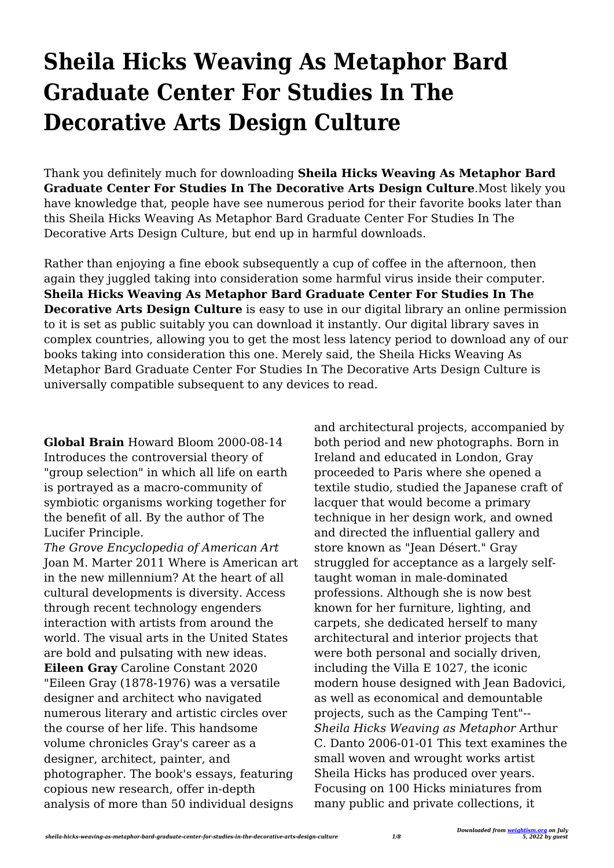# **Sheila Hicks Weaving As Metaphor Bard Graduate Center For Studies In The Decorative Arts Design Culture**

Thank you definitely much for downloading **Sheila Hicks Weaving As Metaphor Bard Graduate Center For Studies In The Decorative Arts Design Culture**.Most likely you have knowledge that, people have see numerous period for their favorite books later than this Sheila Hicks Weaving As Metaphor Bard Graduate Center For Studies In The Decorative Arts Design Culture, but end up in harmful downloads.

Rather than enjoying a fine ebook subsequently a cup of coffee in the afternoon, then again they juggled taking into consideration some harmful virus inside their computer. **Sheila Hicks Weaving As Metaphor Bard Graduate Center For Studies In The Decorative Arts Design Culture** is easy to use in our digital library an online permission to it is set as public suitably you can download it instantly. Our digital library saves in complex countries, allowing you to get the most less latency period to download any of our books taking into consideration this one. Merely said, the Sheila Hicks Weaving As Metaphor Bard Graduate Center For Studies In The Decorative Arts Design Culture is universally compatible subsequent to any devices to read.

**Global Brain** Howard Bloom 2000-08-14 Introduces the controversial theory of "group selection" in which all life on earth is portrayed as a macro-community of symbiotic organisms working together for the benefit of all. By the author of The Lucifer Principle.

*The Grove Encyclopedia of American Art* Joan M. Marter 2011 Where is American art in the new millennium? At the heart of all cultural developments is diversity. Access through recent technology engenders interaction with artists from around the world. The visual arts in the United States are bold and pulsating with new ideas. **Eileen Gray** Caroline Constant 2020 "Eileen Gray (1878-1976) was a versatile designer and architect who navigated numerous literary and artistic circles over the course of her life. This handsome volume chronicles Gray's career as a designer, architect, painter, and photographer. The book's essays, featuring copious new research, offer in-depth analysis of more than 50 individual designs

and architectural projects, accompanied by both period and new photographs. Born in Ireland and educated in London, Gray proceeded to Paris where she opened a textile studio, studied the Japanese craft of lacquer that would become a primary technique in her design work, and owned and directed the influential gallery and store known as "Jean Désert." Gray struggled for acceptance as a largely selftaught woman in male-dominated professions. Although she is now best known for her furniture, lighting, and carpets, she dedicated herself to many architectural and interior projects that were both personal and socially driven, including the Villa E 1027, the iconic modern house designed with Jean Badovici, as well as economical and demountable projects, such as the Camping Tent"-- *Sheila Hicks Weaving as Metaphor* Arthur C. Danto 2006-01-01 This text examines the small woven and wrought works artist Sheila Hicks has produced over years. Focusing on 100 Hicks miniatures from many public and private collections, it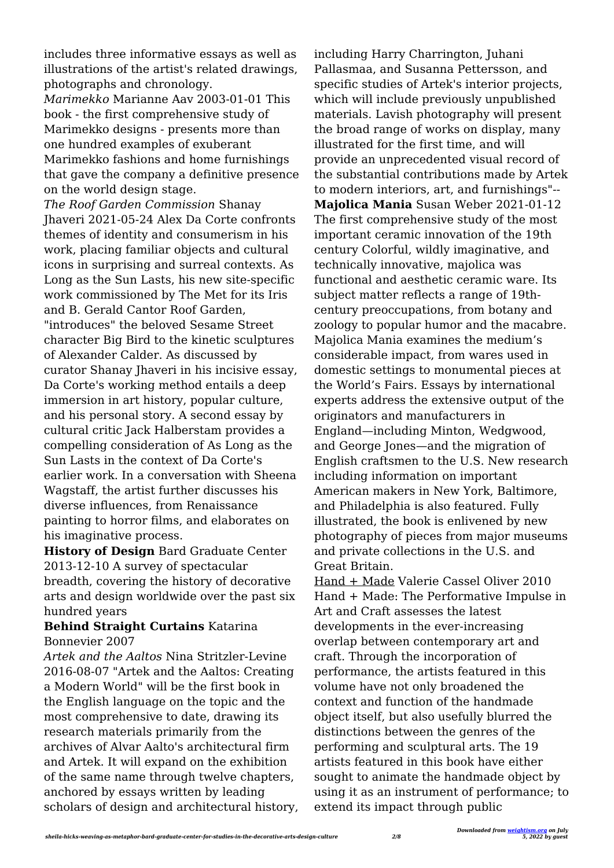includes three informative essays as well as illustrations of the artist's related drawings, photographs and chronology.

*Marimekko* Marianne Aav 2003-01-01 This book - the first comprehensive study of Marimekko designs - presents more than one hundred examples of exuberant Marimekko fashions and home furnishings that gave the company a definitive presence on the world design stage.

*The Roof Garden Commission* Shanay Jhaveri 2021-05-24 Alex Da Corte confronts themes of identity and consumerism in his work, placing familiar objects and cultural icons in surprising and surreal contexts. As Long as the Sun Lasts, his new site-specific work commissioned by The Met for its Iris and B. Gerald Cantor Roof Garden, "introduces" the beloved Sesame Street character Big Bird to the kinetic sculptures of Alexander Calder. As discussed by curator Shanay Jhaveri in his incisive essay, Da Corte's working method entails a deep immersion in art history, popular culture, and his personal story. A second essay by cultural critic Jack Halberstam provides a compelling consideration of As Long as the Sun Lasts in the context of Da Corte's earlier work. In a conversation with Sheena Wagstaff, the artist further discusses his diverse influences, from Renaissance painting to horror films, and elaborates on his imaginative process.

**History of Design** Bard Graduate Center 2013-12-10 A survey of spectacular breadth, covering the history of decorative arts and design worldwide over the past six hundred years

## **Behind Straight Curtains** Katarina Bonnevier 2007

*Artek and the Aaltos* Nina Stritzler-Levine 2016-08-07 "Artek and the Aaltos: Creating a Modern World" will be the first book in the English language on the topic and the most comprehensive to date, drawing its research materials primarily from the archives of Alvar Aalto's architectural firm and Artek. It will expand on the exhibition of the same name through twelve chapters, anchored by essays written by leading scholars of design and architectural history, including Harry Charrington, Juhani Pallasmaa, and Susanna Pettersson, and specific studies of Artek's interior projects, which will include previously unpublished materials. Lavish photography will present the broad range of works on display, many illustrated for the first time, and will provide an unprecedented visual record of the substantial contributions made by Artek to modern interiors, art, and furnishings"-- **Majolica Mania** Susan Weber 2021-01-12 The first comprehensive study of the most important ceramic innovation of the 19th century Colorful, wildly imaginative, and technically innovative, majolica was functional and aesthetic ceramic ware. Its subject matter reflects a range of 19thcentury preoccupations, from botany and zoology to popular humor and the macabre. Majolica Mania examines the medium's considerable impact, from wares used in domestic settings to monumental pieces at the World's Fairs. Essays by international experts address the extensive output of the originators and manufacturers in England—including Minton, Wedgwood, and George Jones—and the migration of English craftsmen to the U.S. New research including information on important American makers in New York, Baltimore, and Philadelphia is also featured. Fully illustrated, the book is enlivened by new photography of pieces from major museums and private collections in the U.S. and Great Britain.

Hand + Made Valerie Cassel Oliver 2010 Hand + Made: The Performative Impulse in Art and Craft assesses the latest developments in the ever-increasing overlap between contemporary art and craft. Through the incorporation of performance, the artists featured in this volume have not only broadened the context and function of the handmade object itself, but also usefully blurred the distinctions between the genres of the performing and sculptural arts. The 19 artists featured in this book have either sought to animate the handmade object by using it as an instrument of performance; to extend its impact through public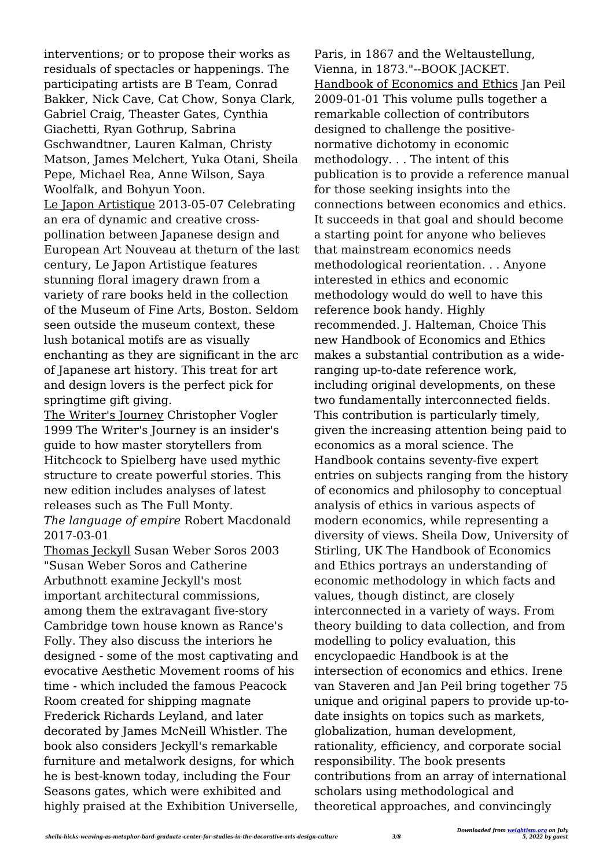interventions; or to propose their works as residuals of spectacles or happenings. The participating artists are B Team, Conrad Bakker, Nick Cave, Cat Chow, Sonya Clark, Gabriel Craig, Theaster Gates, Cynthia Giachetti, Ryan Gothrup, Sabrina Gschwandtner, Lauren Kalman, Christy Matson, James Melchert, Yuka Otani, Sheila Pepe, Michael Rea, Anne Wilson, Saya Woolfalk, and Bohyun Yoon. Le Japon Artistique 2013-05-07 Celebrating an era of dynamic and creative crosspollination between Japanese design and European Art Nouveau at theturn of the last century, Le Japon Artistique features stunning floral imagery drawn from a variety of rare books held in the collection of the Museum of Fine Arts, Boston. Seldom seen outside the museum context, these lush botanical motifs are as visually enchanting as they are significant in the arc of Japanese art history. This treat for art and design lovers is the perfect pick for springtime gift giving.

The Writer's Journey Christopher Vogler 1999 The Writer's Journey is an insider's guide to how master storytellers from Hitchcock to Spielberg have used mythic structure to create powerful stories. This new edition includes analyses of latest releases such as The Full Monty. *The language of empire* Robert Macdonald 2017-03-01

Thomas Jeckyll Susan Weber Soros 2003 "Susan Weber Soros and Catherine Arbuthnott examine Jeckyll's most important architectural commissions, among them the extravagant five-story Cambridge town house known as Rance's Folly. They also discuss the interiors he designed - some of the most captivating and evocative Aesthetic Movement rooms of his time - which included the famous Peacock Room created for shipping magnate Frederick Richards Leyland, and later decorated by James McNeill Whistler. The book also considers Jeckyll's remarkable furniture and metalwork designs, for which he is best-known today, including the Four Seasons gates, which were exhibited and highly praised at the Exhibition Universelle,

Paris, in 1867 and the Weltaustellung, Vienna, in 1873."--BOOK JACKET. Handbook of Economics and Ethics Jan Peil 2009-01-01 This volume pulls together a remarkable collection of contributors designed to challenge the positivenormative dichotomy in economic methodology. . . The intent of this publication is to provide a reference manual for those seeking insights into the connections between economics and ethics. It succeeds in that goal and should become a starting point for anyone who believes that mainstream economics needs methodological reorientation. . . Anyone interested in ethics and economic methodology would do well to have this reference book handy. Highly recommended. J. Halteman, Choice This new Handbook of Economics and Ethics makes a substantial contribution as a wideranging up-to-date reference work, including original developments, on these two fundamentally interconnected fields. This contribution is particularly timely, given the increasing attention being paid to economics as a moral science. The Handbook contains seventy-five expert entries on subjects ranging from the history of economics and philosophy to conceptual analysis of ethics in various aspects of modern economics, while representing a diversity of views. Sheila Dow, University of Stirling, UK The Handbook of Economics and Ethics portrays an understanding of economic methodology in which facts and values, though distinct, are closely interconnected in a variety of ways. From theory building to data collection, and from modelling to policy evaluation, this encyclopaedic Handbook is at the intersection of economics and ethics. Irene van Staveren and Jan Peil bring together 75 unique and original papers to provide up-todate insights on topics such as markets, globalization, human development, rationality, efficiency, and corporate social responsibility. The book presents contributions from an array of international scholars using methodological and theoretical approaches, and convincingly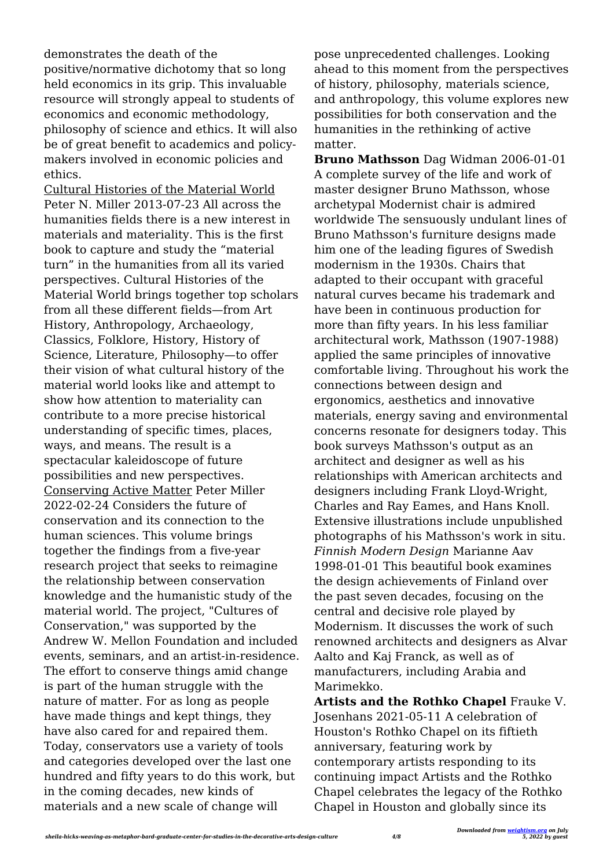demonstrates the death of the positive/normative dichotomy that so long held economics in its grip. This invaluable resource will strongly appeal to students of economics and economic methodology, philosophy of science and ethics. It will also be of great benefit to academics and policymakers involved in economic policies and ethics.

Cultural Histories of the Material World Peter N. Miller 2013-07-23 All across the humanities fields there is a new interest in materials and materiality. This is the first book to capture and study the "material turn" in the humanities from all its varied perspectives. Cultural Histories of the Material World brings together top scholars from all these different fields—from Art History, Anthropology, Archaeology, Classics, Folklore, History, History of Science, Literature, Philosophy—to offer their vision of what cultural history of the material world looks like and attempt to show how attention to materiality can contribute to a more precise historical understanding of specific times, places, ways, and means. The result is a spectacular kaleidoscope of future possibilities and new perspectives. Conserving Active Matter Peter Miller 2022-02-24 Considers the future of conservation and its connection to the human sciences. This volume brings together the findings from a five-year research project that seeks to reimagine the relationship between conservation knowledge and the humanistic study of the material world. The project, "Cultures of Conservation," was supported by the Andrew W. Mellon Foundation and included events, seminars, and an artist-in-residence. The effort to conserve things amid change is part of the human struggle with the nature of matter. For as long as people have made things and kept things, they have also cared for and repaired them. Today, conservators use a variety of tools and categories developed over the last one hundred and fifty years to do this work, but in the coming decades, new kinds of materials and a new scale of change will

pose unprecedented challenges. Looking ahead to this moment from the perspectives of history, philosophy, materials science, and anthropology, this volume explores new possibilities for both conservation and the humanities in the rethinking of active matter.

**Bruno Mathsson** Dag Widman 2006-01-01 A complete survey of the life and work of master designer Bruno Mathsson, whose archetypal Modernist chair is admired worldwide The sensuously undulant lines of Bruno Mathsson's furniture designs made him one of the leading figures of Swedish modernism in the 1930s. Chairs that adapted to their occupant with graceful natural curves became his trademark and have been in continuous production for more than fifty years. In his less familiar architectural work, Mathsson (1907-1988) applied the same principles of innovative comfortable living. Throughout his work the connections between design and ergonomics, aesthetics and innovative materials, energy saving and environmental concerns resonate for designers today. This book surveys Mathsson's output as an architect and designer as well as his relationships with American architects and designers including Frank Lloyd-Wright, Charles and Ray Eames, and Hans Knoll. Extensive illustrations include unpublished photographs of his Mathsson's work in situ. *Finnish Modern Design* Marianne Aav 1998-01-01 This beautiful book examines the design achievements of Finland over the past seven decades, focusing on the central and decisive role played by Modernism. It discusses the work of such renowned architects and designers as Alvar Aalto and Kaj Franck, as well as of manufacturers, including Arabia and Marimekko.

**Artists and the Rothko Chapel** Frauke V. Josenhans 2021-05-11 A celebration of Houston's Rothko Chapel on its fiftieth anniversary, featuring work by contemporary artists responding to its continuing impact Artists and the Rothko Chapel celebrates the legacy of the Rothko Chapel in Houston and globally since its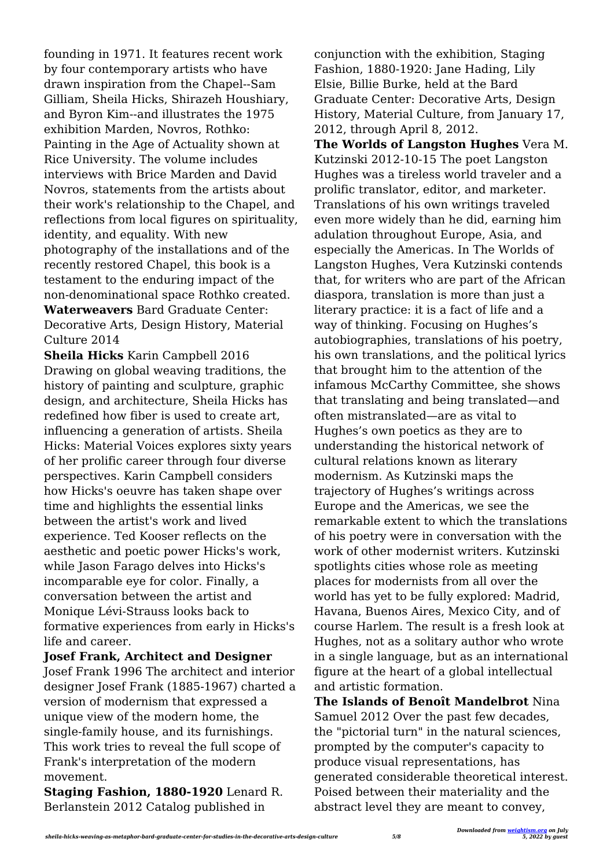founding in 1971. It features recent work by four contemporary artists who have drawn inspiration from the Chapel--Sam Gilliam, Sheila Hicks, Shirazeh Houshiary, and Byron Kim--and illustrates the 1975 exhibition Marden, Novros, Rothko: Painting in the Age of Actuality shown at Rice University. The volume includes interviews with Brice Marden and David Novros, statements from the artists about their work's relationship to the Chapel, and reflections from local figures on spirituality, identity, and equality. With new photography of the installations and of the recently restored Chapel, this book is a testament to the enduring impact of the non-denominational space Rothko created. **Waterweavers** Bard Graduate Center: Decorative Arts, Design History, Material Culture 2014

**Sheila Hicks** Karin Campbell 2016 Drawing on global weaving traditions, the history of painting and sculpture, graphic design, and architecture, Sheila Hicks has redefined how fiber is used to create art, influencing a generation of artists. Sheila Hicks: Material Voices explores sixty years of her prolific career through four diverse perspectives. Karin Campbell considers how Hicks's oeuvre has taken shape over time and highlights the essential links between the artist's work and lived experience. Ted Kooser reflects on the aesthetic and poetic power Hicks's work, while Jason Farago delves into Hicks's incomparable eye for color. Finally, a conversation between the artist and Monique Lévi-Strauss looks back to formative experiences from early in Hicks's life and career.

**Josef Frank, Architect and Designer**

Josef Frank 1996 The architect and interior designer Josef Frank (1885-1967) charted a version of modernism that expressed a unique view of the modern home, the single-family house, and its furnishings. This work tries to reveal the full scope of Frank's interpretation of the modern movement.

**Staging Fashion, 1880-1920** Lenard R. Berlanstein 2012 Catalog published in

conjunction with the exhibition, Staging Fashion, 1880-1920: Jane Hading, Lily Elsie, Billie Burke, held at the Bard Graduate Center: Decorative Arts, Design History, Material Culture, from January 17, 2012, through April 8, 2012.

**The Worlds of Langston Hughes** Vera M. Kutzinski 2012-10-15 The poet Langston Hughes was a tireless world traveler and a prolific translator, editor, and marketer. Translations of his own writings traveled even more widely than he did, earning him adulation throughout Europe, Asia, and especially the Americas. In The Worlds of Langston Hughes, Vera Kutzinski contends that, for writers who are part of the African diaspora, translation is more than just a literary practice: it is a fact of life and a way of thinking. Focusing on Hughes's autobiographies, translations of his poetry, his own translations, and the political lyrics that brought him to the attention of the infamous McCarthy Committee, she shows that translating and being translated—and often mistranslated—are as vital to Hughes's own poetics as they are to understanding the historical network of cultural relations known as literary modernism. As Kutzinski maps the trajectory of Hughes's writings across Europe and the Americas, we see the remarkable extent to which the translations of his poetry were in conversation with the work of other modernist writers. Kutzinski spotlights cities whose role as meeting places for modernists from all over the world has yet to be fully explored: Madrid, Havana, Buenos Aires, Mexico City, and of course Harlem. The result is a fresh look at Hughes, not as a solitary author who wrote in a single language, but as an international figure at the heart of a global intellectual and artistic formation.

**The Islands of Benoît Mandelbrot** Nina Samuel 2012 Over the past few decades, the "pictorial turn" in the natural sciences, prompted by the computer's capacity to produce visual representations, has generated considerable theoretical interest. Poised between their materiality and the abstract level they are meant to convey,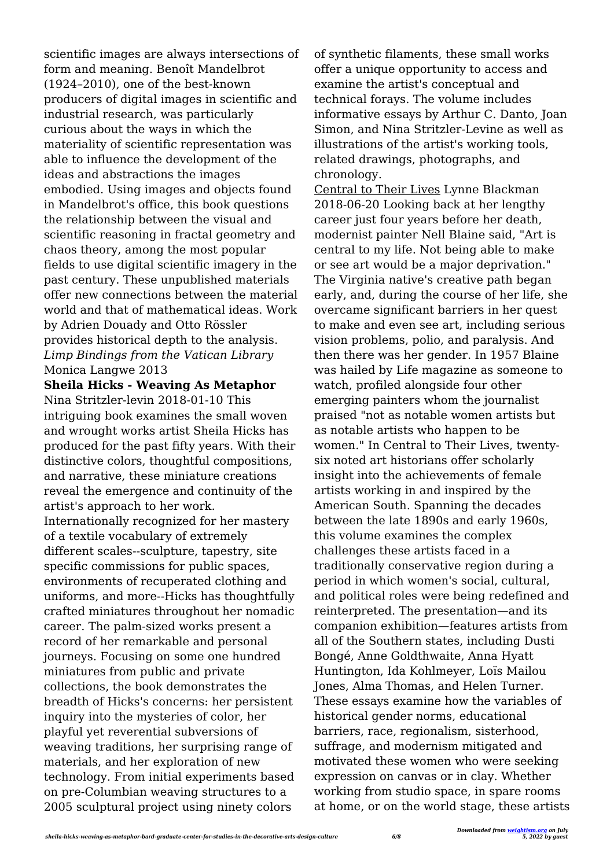scientific images are always intersections of form and meaning. Benoît Mandelbrot (1924–2010), one of the best-known producers of digital images in scientific and industrial research, was particularly curious about the ways in which the materiality of scientific representation was able to influence the development of the ideas and abstractions the images embodied. Using images and objects found in Mandelbrot's office, this book questions the relationship between the visual and scientific reasoning in fractal geometry and chaos theory, among the most popular fields to use digital scientific imagery in the past century. These unpublished materials offer new connections between the material world and that of mathematical ideas. Work by Adrien Douady and Otto Rössler provides historical depth to the analysis. *Limp Bindings from the Vatican Library* Monica Langwe 2013

#### **Sheila Hicks - Weaving As Metaphor**

Nina Stritzler-levin 2018-01-10 This intriguing book examines the small woven and wrought works artist Sheila Hicks has produced for the past fifty years. With their distinctive colors, thoughtful compositions, and narrative, these miniature creations reveal the emergence and continuity of the artist's approach to her work. Internationally recognized for her mastery of a textile vocabulary of extremely different scales--sculpture, tapestry, site specific commissions for public spaces, environments of recuperated clothing and uniforms, and more--Hicks has thoughtfully crafted miniatures throughout her nomadic career. The palm-sized works present a record of her remarkable and personal journeys. Focusing on some one hundred miniatures from public and private collections, the book demonstrates the breadth of Hicks's concerns: her persistent inquiry into the mysteries of color, her playful yet reverential subversions of weaving traditions, her surprising range of materials, and her exploration of new technology. From initial experiments based on pre-Columbian weaving structures to a 2005 sculptural project using ninety colors

of synthetic filaments, these small works offer a unique opportunity to access and examine the artist's conceptual and technical forays. The volume includes informative essays by Arthur C. Danto, Joan Simon, and Nina Stritzler-Levine as well as illustrations of the artist's working tools, related drawings, photographs, and chronology.

Central to Their Lives Lynne Blackman 2018-06-20 Looking back at her lengthy career just four years before her death, modernist painter Nell Blaine said, "Art is central to my life. Not being able to make or see art would be a major deprivation." The Virginia native's creative path began early, and, during the course of her life, she overcame significant barriers in her quest to make and even see art, including serious vision problems, polio, and paralysis. And then there was her gender. In 1957 Blaine was hailed by Life magazine as someone to watch, profiled alongside four other emerging painters whom the journalist praised "not as notable women artists but as notable artists who happen to be women." In Central to Their Lives, twentysix noted art historians offer scholarly insight into the achievements of female artists working in and inspired by the American South. Spanning the decades between the late 1890s and early 1960s, this volume examines the complex challenges these artists faced in a traditionally conservative region during a period in which women's social, cultural, and political roles were being redefined and reinterpreted. The presentation—and its companion exhibition—features artists from all of the Southern states, including Dusti Bongé, Anne Goldthwaite, Anna Hyatt Huntington, Ida Kohlmeyer, Loïs Mailou Jones, Alma Thomas, and Helen Turner. These essays examine how the variables of historical gender norms, educational barriers, race, regionalism, sisterhood, suffrage, and modernism mitigated and motivated these women who were seeking expression on canvas or in clay. Whether working from studio space, in spare rooms at home, or on the world stage, these artists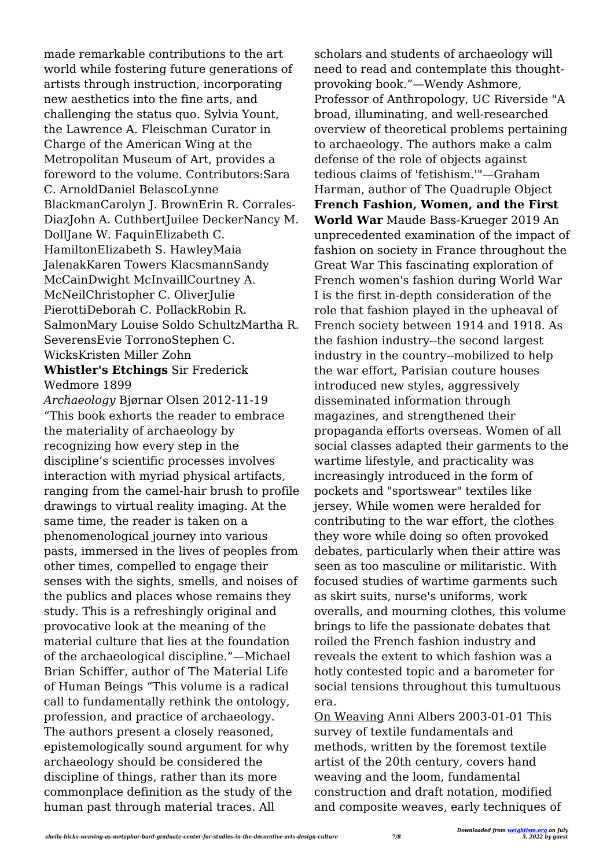made remarkable contributions to the art world while fostering future generations of artists through instruction, incorporating new aesthetics into the fine arts, and challenging the status quo. Sylvia Yount, the Lawrence A. Fleischman Curator in Charge of the American Wing at the Metropolitan Museum of Art, provides a foreword to the volume. Contributors:Sara C. ArnoldDaniel BelascoLynne BlackmanCarolyn J. BrownErin R. Corrales-DiazJohn A. CuthbertJuilee DeckerNancy M. DollJane W. FaquinElizabeth C. HamiltonElizabeth S. HawleyMaia JalenakKaren Towers KlacsmannSandy McCainDwight McInvaillCourtney A. McNeilChristopher C. OliverJulie PierottiDeborah C. PollackRobin R. SalmonMary Louise Soldo SchultzMartha R. SeverensEvie TorronoStephen C. WicksKristen Miller Zohn

#### **Whistler's Etchings** Sir Frederick Wedmore 1899

*Archaeology* Bjørnar Olsen 2012-11-19 "This book exhorts the reader to embrace the materiality of archaeology by recognizing how every step in the discipline's scientific processes involves interaction with myriad physical artifacts, ranging from the camel-hair brush to profile drawings to virtual reality imaging. At the same time, the reader is taken on a phenomenological journey into various pasts, immersed in the lives of peoples from other times, compelled to engage their senses with the sights, smells, and noises of the publics and places whose remains they study. This is a refreshingly original and provocative look at the meaning of the material culture that lies at the foundation of the archaeological discipline."—Michael Brian Schiffer, author of The Material Life of Human Beings "This volume is a radical call to fundamentally rethink the ontology, profession, and practice of archaeology. The authors present a closely reasoned, epistemologically sound argument for why archaeology should be considered the discipline of things, rather than its more commonplace definition as the study of the human past through material traces. All

scholars and students of archaeology will need to read and contemplate this thoughtprovoking book."—Wendy Ashmore, Professor of Anthropology, UC Riverside "A broad, illuminating, and well-researched overview of theoretical problems pertaining to archaeology. The authors make a calm defense of the role of objects against tedious claims of 'fetishism.'"—Graham Harman, author of The Quadruple Object **French Fashion, Women, and the First World War** Maude Bass-Krueger 2019 An unprecedented examination of the impact of fashion on society in France throughout the Great War This fascinating exploration of French women's fashion during World War I is the first in-depth consideration of the role that fashion played in the upheaval of French society between 1914 and 1918. As the fashion industry--the second largest industry in the country--mobilized to help the war effort, Parisian couture houses introduced new styles, aggressively disseminated information through magazines, and strengthened their propaganda efforts overseas. Women of all social classes adapted their garments to the wartime lifestyle, and practicality was increasingly introduced in the form of pockets and "sportswear" textiles like jersey. While women were heralded for contributing to the war effort, the clothes they wore while doing so often provoked debates, particularly when their attire was seen as too masculine or militaristic. With focused studies of wartime garments such as skirt suits, nurse's uniforms, work overalls, and mourning clothes, this volume brings to life the passionate debates that roiled the French fashion industry and reveals the extent to which fashion was a hotly contested topic and a barometer for social tensions throughout this tumultuous era.

On Weaving Anni Albers 2003-01-01 This survey of textile fundamentals and methods, written by the foremost textile artist of the 20th century, covers hand weaving and the loom, fundamental construction and draft notation, modified and composite weaves, early techniques of